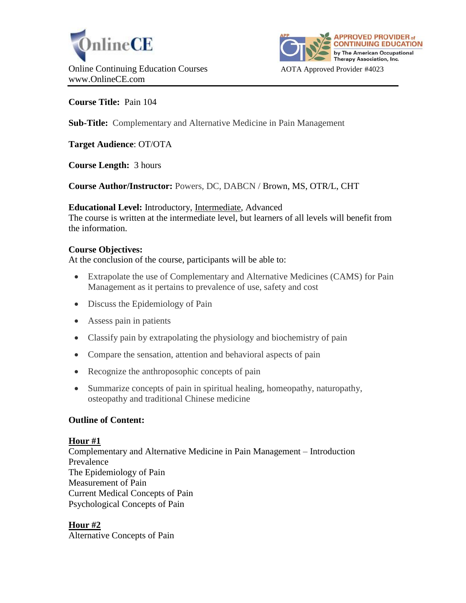



# **Course Title:** Pain 104

**Sub-Title:** Complementary and Alternative Medicine in Pain Management

**Target Audience**: OT/OTA

**Course Length:** 3 hours

**Course Author/Instructor:** Powers, DC, DABCN / Brown, MS, OTR/L, CHT

**Educational Level:** Introductory, Intermediate, Advanced

The course is written at the intermediate level, but learners of all levels will benefit from the information.

# **Course Objectives:**

At the conclusion of the course, participants will be able to:

- Extrapolate the use of Complementary and Alternative Medicines (CAMS) for Pain Management as it pertains to prevalence of use, safety and cost
- Discuss the Epidemiology of Pain
- Assess pain in patients
- Classify pain by extrapolating the physiology and biochemistry of pain
- Compare the sensation, attention and behavioral aspects of pain
- Recognize the anthroposophic concepts of pain
- Summarize concepts of pain in spiritual healing, homeopathy, naturopathy, osteopathy and traditional Chinese medicine

### **Outline of Content:**

### **Hour #1**

Complementary and Alternative Medicine in Pain Management – Introduction Prevalence The Epidemiology of Pain Measurement of Pain Current Medical Concepts of Pain Psychological Concepts of Pain

# **Hour #2**

Alternative Concepts of Pain